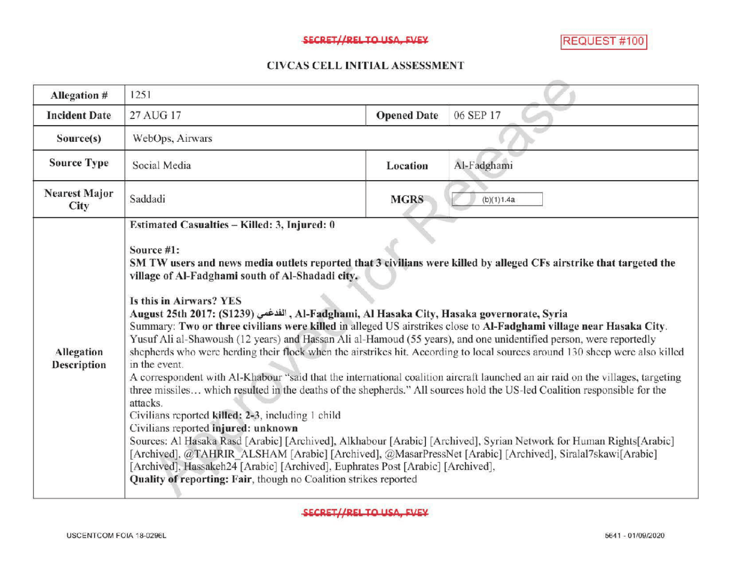## SECRET//REL TO USA, FVEY MANUSCRIPT AND REQUEST #100

## CIVCAS CELL INITIALASSESSMENT

| Allegation #                 | 1251                                                                                                                                                                                                                                                                                                                                                                                                                                                                                                                                                                                                                                                                                                                                                                                                                                                                                                                                                                                                                                                                                                                                                                                                                                                                                                                                                                                                                                                                                                                                                               |                    |             |
|------------------------------|--------------------------------------------------------------------------------------------------------------------------------------------------------------------------------------------------------------------------------------------------------------------------------------------------------------------------------------------------------------------------------------------------------------------------------------------------------------------------------------------------------------------------------------------------------------------------------------------------------------------------------------------------------------------------------------------------------------------------------------------------------------------------------------------------------------------------------------------------------------------------------------------------------------------------------------------------------------------------------------------------------------------------------------------------------------------------------------------------------------------------------------------------------------------------------------------------------------------------------------------------------------------------------------------------------------------------------------------------------------------------------------------------------------------------------------------------------------------------------------------------------------------------------------------------------------------|--------------------|-------------|
| <b>Incident Date</b>         | 27 AUG 17                                                                                                                                                                                                                                                                                                                                                                                                                                                                                                                                                                                                                                                                                                                                                                                                                                                                                                                                                                                                                                                                                                                                                                                                                                                                                                                                                                                                                                                                                                                                                          | <b>Opened Date</b> | 06 SEP 17   |
| Source(s)                    | WebOps, Airwars                                                                                                                                                                                                                                                                                                                                                                                                                                                                                                                                                                                                                                                                                                                                                                                                                                                                                                                                                                                                                                                                                                                                                                                                                                                                                                                                                                                                                                                                                                                                                    |                    |             |
| <b>Source Type</b>           | Social Media                                                                                                                                                                                                                                                                                                                                                                                                                                                                                                                                                                                                                                                                                                                                                                                                                                                                                                                                                                                                                                                                                                                                                                                                                                                                                                                                                                                                                                                                                                                                                       | Location           | Al-Fadghami |
| <b>Nearest Major</b><br>City | Saddadi                                                                                                                                                                                                                                                                                                                                                                                                                                                                                                                                                                                                                                                                                                                                                                                                                                                                                                                                                                                                                                                                                                                                                                                                                                                                                                                                                                                                                                                                                                                                                            | <b>MGRS</b>        | (b)(1)1.4a  |
| Allegation<br>Description    | Estimated Casualties - Killed: 3, Injured: 0<br>Source #1:<br>SM TW users and news media outlets reported that 3 civilians were killed by alleged CFs airstrike that targeted the<br>village of Al-Fadghami south of Al-Shadadi city.<br>Is this in Airwars? YES<br>Al-Fadghami, Al Hasaka City, Hasaka governorate, Syria , الفدغس (S1239) Al-Fadghami, Al Hasaka City, Hasaka governorate, Syria<br>Summary: Two or three civilians were killed in alleged US airstrikes close to Al-Fadghami village near Hasaka City.<br>Yusuf Ali al-Shawoush (12 years) and Hassan Ali al-Hamoud (55 years), and one unidentified person, were reportedly<br>shepherds who were herding their flock when the airstrikes hit. According to local sources around 130 sheep were also killed<br>in the event.<br>A correspondent with Al-Khabour "said that the international coalition aircraft launched an air raid on the villages, targeting<br>three missiles which resulted in the deaths of the shepherds." All sources hold the US-led Coalition responsible for the<br>attacks.<br>Civilians reported killed: 2-3, including 1 child<br>Civilians reported injured: unknown<br>Sources: Al Hasaka Rasd [Arabic] [Archived], Alkhabour [Arabic] [Archived], Syrian Network for Human Rights[Arabic]<br>[Archived], @TAHRIR_ALSHAM [Arabic] [Archived], @MasarPressNet [Arabic] [Archived], Siralal7skawi[Arabic]<br>[Archived], Hassakeh24 [Arabic] [Archived], Euphrates Post [Arabic] [Archived],<br>Quality of reporting: Fair, though no Coalition strikes reported |                    |             |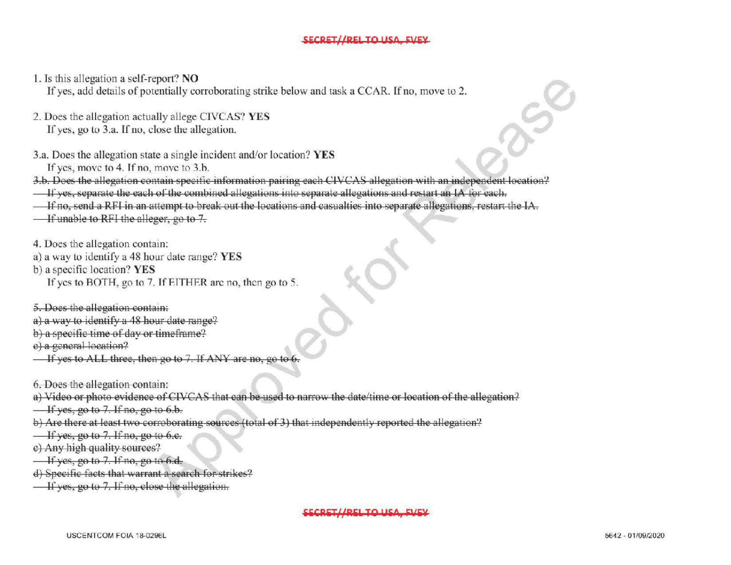## SECRET//REL TO LISA EVEY

1. Is this allegation <sup>a</sup> self-report? NO

If yes, add details of potentially corroborating strike below and task a CCAR. If no, move to 2.

- 2. Does the allegation actually allege CIVCAS? YES If yes, go to 3.a. If no, close the allegation.
- 3.a. Does the allegation state a single incident and/or location? YES If yes, move to 4. If no, move to 3.b.
- 3.b. Does the allegation contain specific information pairing each CIVCAS allegation with an independent location?
- If yes, separate the each of the combined allegations into separate allegations and restart an IA for each.
- If no, send a RFI in an attempt to break out the locations and casualties into separate allegations, restart the IA.
- If unable to RFI the alleger, go to 7.
- 4. Does the allegation contain:
- a) <sup>a</sup> way to identifya 48 hour date range? YES
- b) a specific location? YES
	- If yes to BOTH, go to 7. If EITHER are no, then go to 5.

5. Does the allegation contain:

- a) a way to identify a 48 hour date range?
- b) a specific time of day or timeframe?
- e) a general location?
- $\overline{\phantom{a}}$  If yes to ALL three, then go to 7. If ANY are no, go
- 6. Does the allegation contain:
- a) Video or photo evidence of CIVCAS that can be used to narrow the date/ time or location of the allegation?
- $\overline{\phantom{a}}$  If yes, go to 7. If no, go to 6.b.
- b) Are there at least two corroborating sources (total of 3) that independently reported the allegation?
- $\frac{1}{1}$  yes, go to 7. If no, go to 6.e.
- e) Any high quality sources?
- $\frac{1}{16}$  If yes, go to 7. If no, go to 6.d.
- d) Specific facts that warrant a search for strikes?
- $\overline{\phantom{a}}$  If yes, go to 7. If no, close the allegation.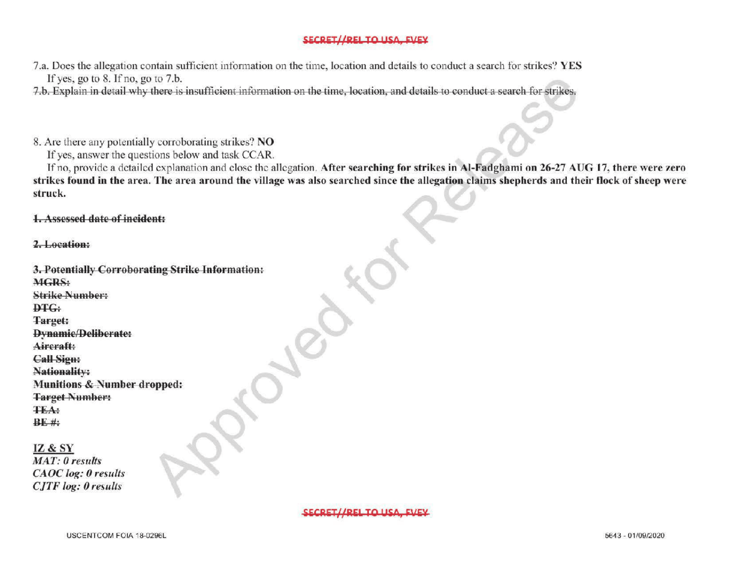## SECRET//REI TO USA EVEY

7.a. Does the allegation contain sufficient information on the time, location and details to conduct a search for strikes? YES If yes, go to 8. If no, go to 7.b.

7.b. Explain in detail why there is insufficient information on the time, location, and details to conduct a search for strikes.

8. Are there any potentially corroborating strikes? NO

If yes, answer the questions below and task CCAR.

If no, provide a detailed explanation and close the allegation. After searching for strikes in Al-Fadghami on 26-27 AUG 17, there were zero strikes found in the area. The area around the village was also searched since the allegation claims shepherds and their flock of sheep were struck  $f(x)$ 

1. Assessed date of incident:

2.Location:

| 3. Potentially Corroborating Strike Information: |  |
|--------------------------------------------------|--|
| MGRS:                                            |  |
| <b>Strike Number:</b>                            |  |
| <b>DTG:</b>                                      |  |
| Target:                                          |  |
| <b>Dynamic/Deliberate:</b>                       |  |
| Aircraft:                                        |  |
| <b>Call Sign:</b>                                |  |
| Nationality:                                     |  |
| <b>Munitions &amp; Number dropped:</b>           |  |
| <b>Target Number:</b>                            |  |
| <b>TEA:</b>                                      |  |
| $BE$ #:                                          |  |
|                                                  |  |
| <b>IZ &amp; SY</b>                               |  |
| $MAT, 0$ months                                  |  |

IZ& SY MAT: 0 results CAOC log: 0 results CJTF log: 0 results

SECRET//REL TO LICA EVEV